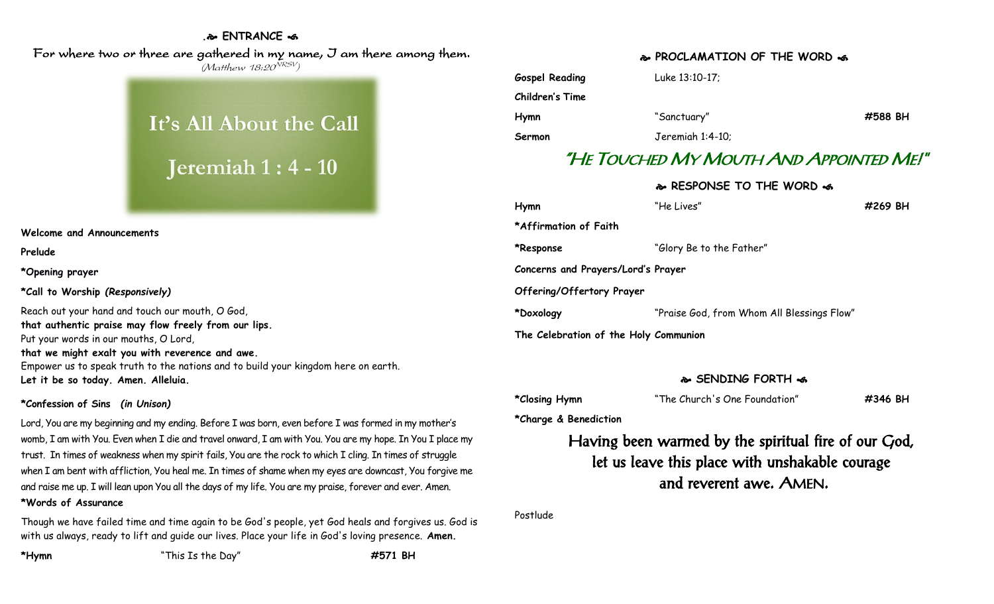### **. ENTRANCE**

 For where two or three are gathered in my name, I am there among them. (Matthew 18:20<sup>NRSV</sup>)

# It's All About the Call

## Jeremiah  $1:4-10$

#### **Welcome and Announcements**

**Prelude**

**\*Opening prayer**

**\*Call to Worship** *(Responsively)*

Reach out your hand and touch our mouth, O God, **that authentic praise may flow freely from our lips.** Put your words in our mouths, O Lord, **that we might exalt you with reverence and awe.** Empower us to speak truth to the nations and to build your kingdom here on earth. **Let it be so today. Amen. Alleluia.**

### **\*Confession of Sins** *(in Unison)*

Lord, You are my beginning and my ending. Before I was born, even before I was formed in my mother's womb, I am with You. Even when I die and travel onward, I am with You. You are my hope. In You I place my trust. In times of weakness when my spirit fails, You are the rock to which I cling. In times of struggle when I am bent with affliction, You heal me. In times of shame when my eyes are downcast, You forgive me and raise me up. I will lean upon You all the days of my life. You are my praise, forever and ever. Amen.

### **\*Words of Assurance**

Though we have failed time and time again to be God's people, yet God heals and forgives us. God is with us always, ready to lift and guide our lives. Place your life in God's loving presence. **Amen.**

**\*Hymn** "This Is the Day" **#571 BH**

### **PROCLAMATION OF THE WORD**

**Gospel Reading** Luke 13:10-17; **Children's Time Hymn** "Sanctuary" **#588 BH Sermon** Jeremiah 1:4-10;

### "HE TOUCHED MY MOUTH AND APPOINTED ME!"

**RESPONSE TO THE WORD** 

| Hymn                                  | "He Lives"                                 | #269 BH |
|---------------------------------------|--------------------------------------------|---------|
| *Affirmation of Faith                 |                                            |         |
| *Response                             | "Glory Be to the Father"                   |         |
| Concerns and Prayers/Lord's Prayer    |                                            |         |
| Offering/Offertory Prayer             |                                            |         |
| *Doxology                             | "Praise God, from Whom All Blessings Flow" |         |
| The Celebration of the Holy Communion |                                            |         |

### **SENDING FORTH**

| *Closing Hymn | "The Church's One Foundation" | #346 BH |
|---------------|-------------------------------|---------|
|               |                               |         |

**\*Charge & Benediction**

### Having been warmed by the spiritual fire of our God, let us leave this place with unshakable courage and reverent awe. AMEN.

Postlude